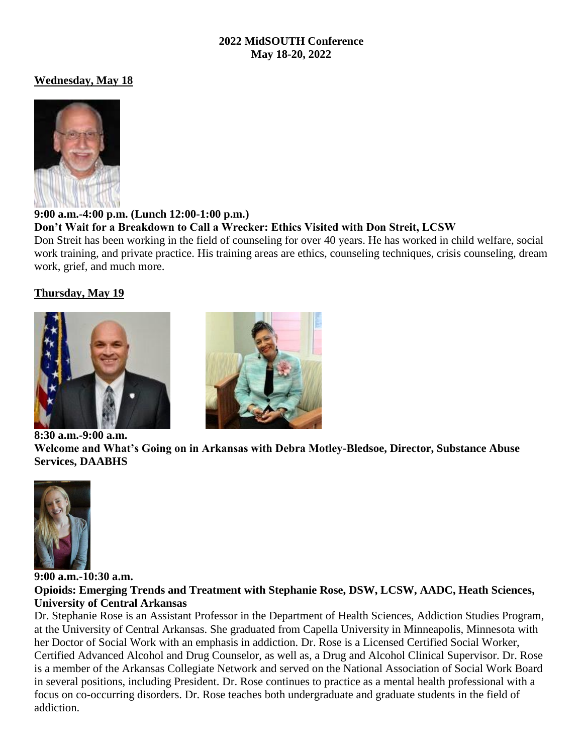#### **2022 MidSOUTH Conference May 18-20, 2022**

## **Wednesday, May 18**



**9:00 a.m.-4:00 p.m. (Lunch 12:00-1:00 p.m.) Don't Wait for a Breakdown to Call a Wrecker: Ethics Visited with Don Streit, LCSW**

Don Streit has been working in the field of counseling for over 40 years. He has worked in child welfare, social work training, and private practice. His training areas are ethics, counseling techniques, crisis counseling, dream work, grief, and much more.

# **Thursday, May 19**





**Welcome and What's Going on in Arkansas with Debra Motley-Bledsoe, Director, Substance Abuse Services, DAABHS**



**9:00 a.m.-10:30 a.m. Opioids: Emerging Trends and Treatment with Stephanie Rose, DSW, LCSW, AADC, Heath Sciences, University of Central Arkansas**

Dr. Stephanie Rose is an Assistant Professor in the Department of Health Sciences, Addiction Studies Program, at the University of Central Arkansas. She graduated from Capella University in Minneapolis, Minnesota with her Doctor of Social Work with an emphasis in addiction. Dr. Rose is a Licensed Certified Social Worker, Certified Advanced Alcohol and Drug Counselor, as well as, a Drug and Alcohol Clinical Supervisor. Dr. Rose is a member of the Arkansas Collegiate Network and served on the National Association of Social Work Board in several positions, including President. Dr. Rose continues to practice as a mental health professional with a focus on co-occurring disorders. Dr. Rose teaches both undergraduate and graduate students in the field of addiction.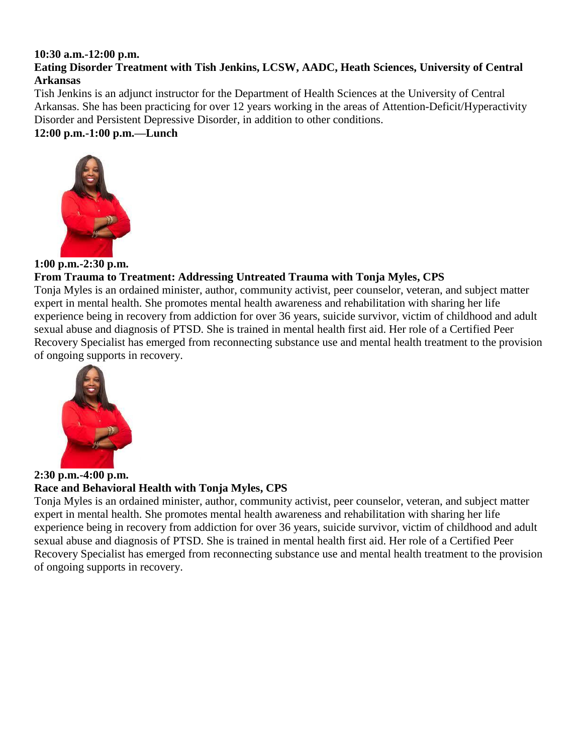#### **10:30 a.m.-12:00 p.m.**

## **Eating Disorder Treatment with Tish Jenkins, LCSW, AADC, Heath Sciences, University of Central Arkansas**

Tish Jenkins is an adjunct instructor for the Department of Health Sciences at the University of Central Arkansas. She has been practicing for over 12 years working in the areas of Attention-Deficit/Hyperactivity Disorder and Persistent Depressive Disorder, in addition to other conditions.

## **12:00 p.m.-1:00 p.m.—Lunch**



**1:00 p.m.-2:30 p.m.**

# **From Trauma to Treatment: Addressing Untreated Trauma with Tonja Myles, CPS**

Tonja Myles is an ordained minister, author, community activist, peer counselor, veteran, and subject matter expert in mental health. She promotes mental health awareness and rehabilitation with sharing her life experience being in recovery from addiction for over 36 years, suicide survivor, victim of childhood and adult sexual abuse and diagnosis of PTSD. She is trained in mental health first aid. Her role of a Certified Peer Recovery Specialist has emerged from reconnecting substance use and mental health treatment to the provision of ongoing supports in recovery.



**2:30 p.m.-4:00 p.m. Race and Behavioral Health with Tonja Myles, CPS**

Tonja Myles is an ordained minister, author, community activist, peer counselor, veteran, and subject matter expert in mental health. She promotes mental health awareness and rehabilitation with sharing her life experience being in recovery from addiction for over 36 years, suicide survivor, victim of childhood and adult sexual abuse and diagnosis of PTSD. She is trained in mental health first aid. Her role of a Certified Peer Recovery Specialist has emerged from reconnecting substance use and mental health treatment to the provision of ongoing supports in recovery.